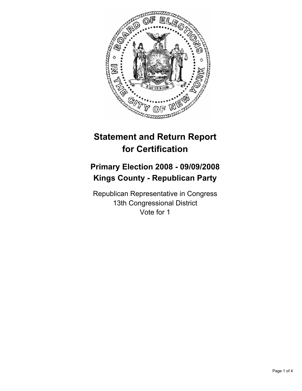

# **Statement and Return Report for Certification**

# **Primary Election 2008 - 09/09/2008 Kings County - Republican Party**

Republican Representative in Congress 13th Congressional District Vote for 1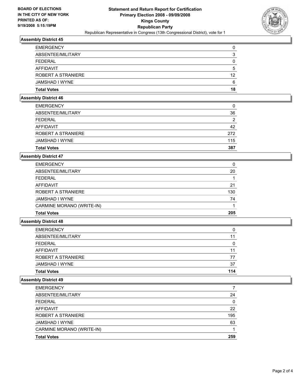

# **Assembly District 45**

| <b>EMERGENCY</b>   |    |
|--------------------|----|
| ABSENTEE/MILITARY  |    |
| FFDFRAI            |    |
| AFFIDAVIT          |    |
| ROBERT A STRANIERE | 12 |
| JAMSHAD I WYNE     | 6  |
| <b>Total Votes</b> | 18 |

#### **Assembly District 46**

| <b>Total Votes</b> | 387 |
|--------------------|-----|
| JAMSHAD I WYNE     | 115 |
| ROBERT A STRANIERE | 272 |
| AFFIDAVIT          | 42  |
| <b>FEDERAL</b>     | ◠   |
| ABSENTEE/MILITARY  | 36  |
| <b>EMERGENCY</b>   |     |

### **Assembly District 47**

| <b>EMERGENCY</b>          | 0   |
|---------------------------|-----|
| ABSENTEE/MILITARY         | 20  |
| <b>FEDERAL</b>            |     |
| AFFIDAVIT                 | 21  |
| ROBERT A STRANIERE        | 130 |
| JAMSHAD I WYNE            | 74  |
| CARMINE MORANO (WRITE-IN) |     |
| <b>Total Votes</b>        | 205 |

#### **Assembly District 48**

| 11  |
|-----|
| 77  |
| 37  |
| 114 |
|     |

#### **Assembly District 49**

| <b>EMERGENCY</b>          |     |
|---------------------------|-----|
| ABSENTEE/MILITARY         | 24  |
| <b>FEDERAL</b>            |     |
| AFFIDAVIT                 | 22  |
| ROBERT A STRANIERE        | 195 |
| JAMSHAD I WYNE            | 63  |
| CARMINE MORANO (WRITE-IN) |     |
| <b>Total Votes</b>        | 259 |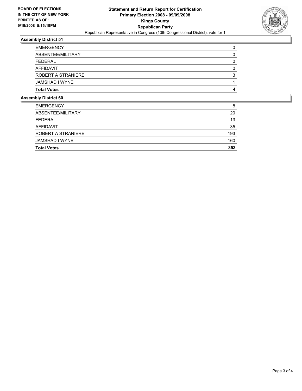

# **Assembly District 51**

## **Assembly District 60**

| <b>EMERGENCY</b>          | 8   |
|---------------------------|-----|
| ABSENTEE/MILITARY         | 20  |
| FEDERAL                   | 13  |
| AFFIDAVIT                 | 35  |
| <b>ROBERT A STRANIERE</b> | 193 |
| JAMSHAD I WYNE            | 160 |
| <b>Total Votes</b>        | 353 |